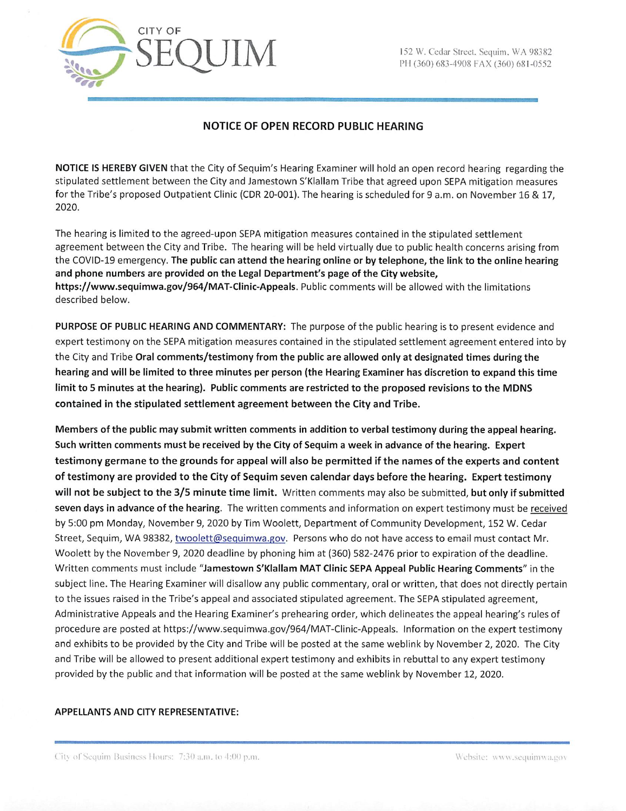

# NOTICE OF OPEN RECORD PUBLIC HEARING

NOTICE IS HEREBY GIVEN that the City of Sequim's Hearing Examiner will hold an open record hearing regarding the stipulated settlement between the City and Jamestown S'KIallam Tribe that agreed upon SEPA mitigation measures for the Tribe's proposed Outpatient Clinic (CDR 20-001). The hearing is scheduled for 9 a.m. on November 16 & 17, 2020.

The hearing is limited to the agreed-upon SEPA mitigation measures contained in the stipulated settlement agreement between the City and Tribe. The hearing will be held virtually due to public health concerns arising from the COVID-19 emergency. The public can attend the hearing online or by telephone, the link to the online hearing and phone numbers are provided on the Legal Department's page of the City website, https://www.sequimwa.gov/964/MAT-Clinic-Appeals. Public comments will be allowed with the limitations described below.

PURPOSE OF PUBLIC HEARING AND COMMENTARY: The purpose of the public hearing is to present evidence and expert testimony on the SEPA mitigation measures contained in the stipulated settlement agreement entered into by the City and Tribe Oral comments/testimony from the public are allowed only at designated times during the hearing and will be limited to three minutes per person (the Hearing Examiner has discretion to expand this time limit to 5 minutes at the hearing). Public comments are restricted to the proposed revisions to the MDNS contained in the stipulated settlement agreement between the City and Tribe.

Members of the public may submit written comments in addition to verbal testimony during the appeal hearing. Such written comments must be received by the City of Sequim a week in advance of the hearing. Expert testimony germane to the grounds for appeal will also be permitted if the names of the experts and content of testimony are provided to the City of Sequim seven calendar days before the hearing. Expert testimony will not be subject to the 3/5 minute time limit. Written comments may also be submitted, but only if submitted seven days in advance of the hearing. The written comments and information on expert testimony must be received by 5:00 pm Monday, November 9, 2020 by Tim Woolett, Department of Community Development, 152 W. Cedar Street, Sequim, WA 98382, twoolett@sequimwa.gov. Persons who do not have access to email must contact Mr. Woolett by the November 9, 2020 deadline by phoning him at (360) 582-2476 prior to expiration of the deadline. Written comments must include "Jamestown S'KIallam MAT Clinic SEPA Appeal Public Hearing Comments" in the subject line. The Hearing Examiner will disallow any public commentary, oral or written, that does not directly pertain to the issues raised in the Tribe's appeal and associated stipulated agreement. The SEPA stipulated agreement, Administrative Appeals and the Hearing Examiner's prehearing order, which delineates the appeal hearing's rules of procedure are posted at https://www.sequimwa.gov/964/MAT-Clinic-Appeals. Information on the expert testimony and exhibits to be provided by the City and Tribe will be posted at the same weblink by November 2, 2020. The City and Tribe will be allowed to present additional expert testimony and exhibits in rebuttal to any expert testimony provided by the public and that information will be posted at the same weblink by November 12, 2020.

### APPELLANTS AND CITY REPRESENTATIVE: